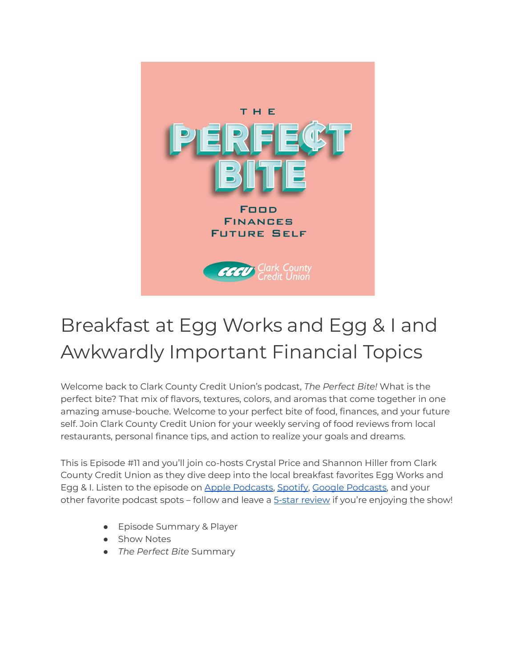

## Breakfast at Egg Works and Egg & I and Awkwardly Important Financial Topics

Welcome back to Clark County Credit Union's podcast, *The Perfect Bite!* What is the perfect bite? That mix of flavors, textures, colors, and aromas that come together in one amazing amuse-bouche. Welcome to your perfect bite of food, finances, and your future self. Join Clark County Credit Union for your weekly serving of food reviews from local restaurants, personal finance tips, and action to realize your goals and dreams.

This is Episode #11 and you'll join co-hosts Crystal Price and Shannon Hiller from Clark County Credit Union as they dive deep into the local breakfast favorites Egg Works and Egg & I. Listen to the episode on Apple [Podcasts](https://podcasts.apple.com/us/podcast/the-perfect-bite/id1604656448), [Spotify,](https://open.spotify.com/show/7tNPJZBNHabGWEFmjnHaxR?si=a0a7808911264628) Google [Podcasts,](https://podcasts.google.com/feed/aHR0cHM6Ly9wZXJmZWN0Yml0ZS5saWJzeW4uY29tL3Jzcw?sa=X&ved=0CAMQ4aUDahcKEwi47ZHlgPP1AhUAAAAAHQAAAAAQRA) and your other favorite podcast spots - follow and leave a **5-star [review](https://podcasts.apple.com/us/podcast/the-perfect-bite/id1604656448)** if you're enjoying the show!

- Episode Summary & Player
- Show Notes
- *The Perfect Bite* Summary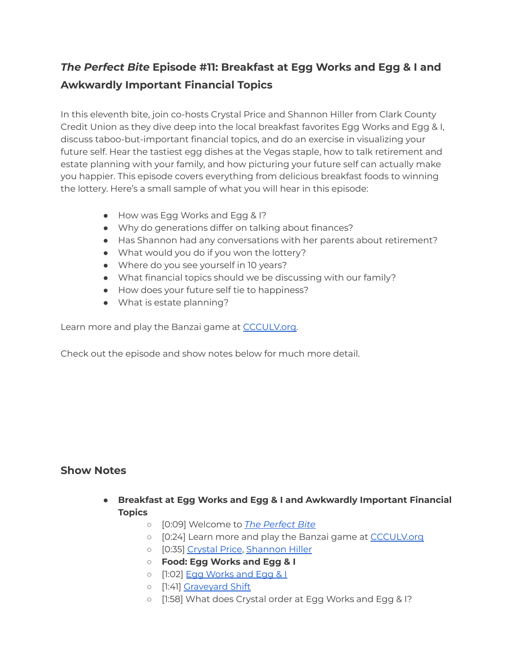## *The Perfect Bite* **Episode #11: Breakfast at Egg Works and Egg & I and Awkwardly Important Financial Topics**

In this eleventh bite, join co-hosts Crystal Price and Shannon Hiller from Clark County Credit Union as they dive deep into the local breakfast favorites Egg Works and Egg & I, discuss taboo-but-important financial topics, and do an exercise in visualizing your future self. Hear the tastiest egg dishes at the Vegas staple, how to talk retirement and estate planning with your family, and how picturing your future self can actually make you happier. This episode covers everything from delicious breakfast foods to winning the lottery. Here's a small sample of what you will hear in this episode:

- How was Egg Works and Egg & I?
- Why do generations differ on talking about finances?
- Has Shannon had any conversations with her parents about retirement?
- What would you do if you won the lottery?
- Where do you see yourself in 10 years?
- What financial topics should we be discussing with our family?
- How does your future self tie to happiness?
- What is estate planning?

Learn more and play the Banzai game at [CCCULV.org.](https://www.ccculv.org/)

Check out the episode and show notes below for much more detail.

## **Show Notes**

- **Breakfast at Egg Works and Egg & I and Awkwardly Important Financial Topics**
	- [0:09] Welcome to *[The Perfect Bite](https://www.ccculv.org/)*
	- o [0:24] Learn more and play the Banzai game at [CCCULV.org](https://www.ccculv.org/)
	- [0:35] [Crystal Price](https://www.ccculv.org/Our-Mission.aspx), [Shannon Hiller](https://www.ccculv.org/Our-Mission.aspx)
	- **○ Food: Egg Works and Egg & I**
	- o [1:02] [Egg Works and Egg & I](https://theeggworks.com/)
	- o [1:41] [Graveyard Shift](https://en.wikipedia.org/wiki/Graveyard_Shift)
	- [1:58] What does Crystal order at Egg Works and Egg & I?